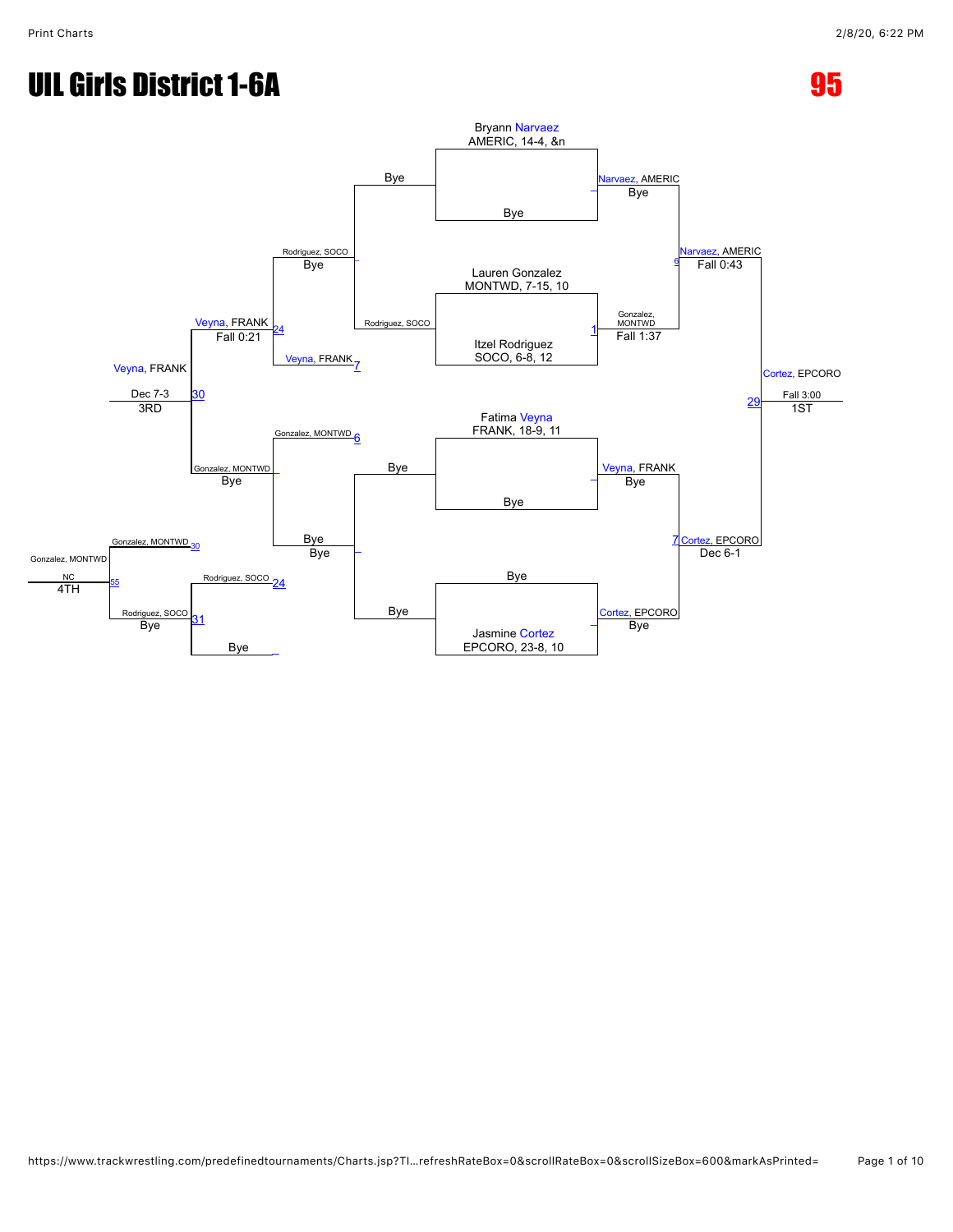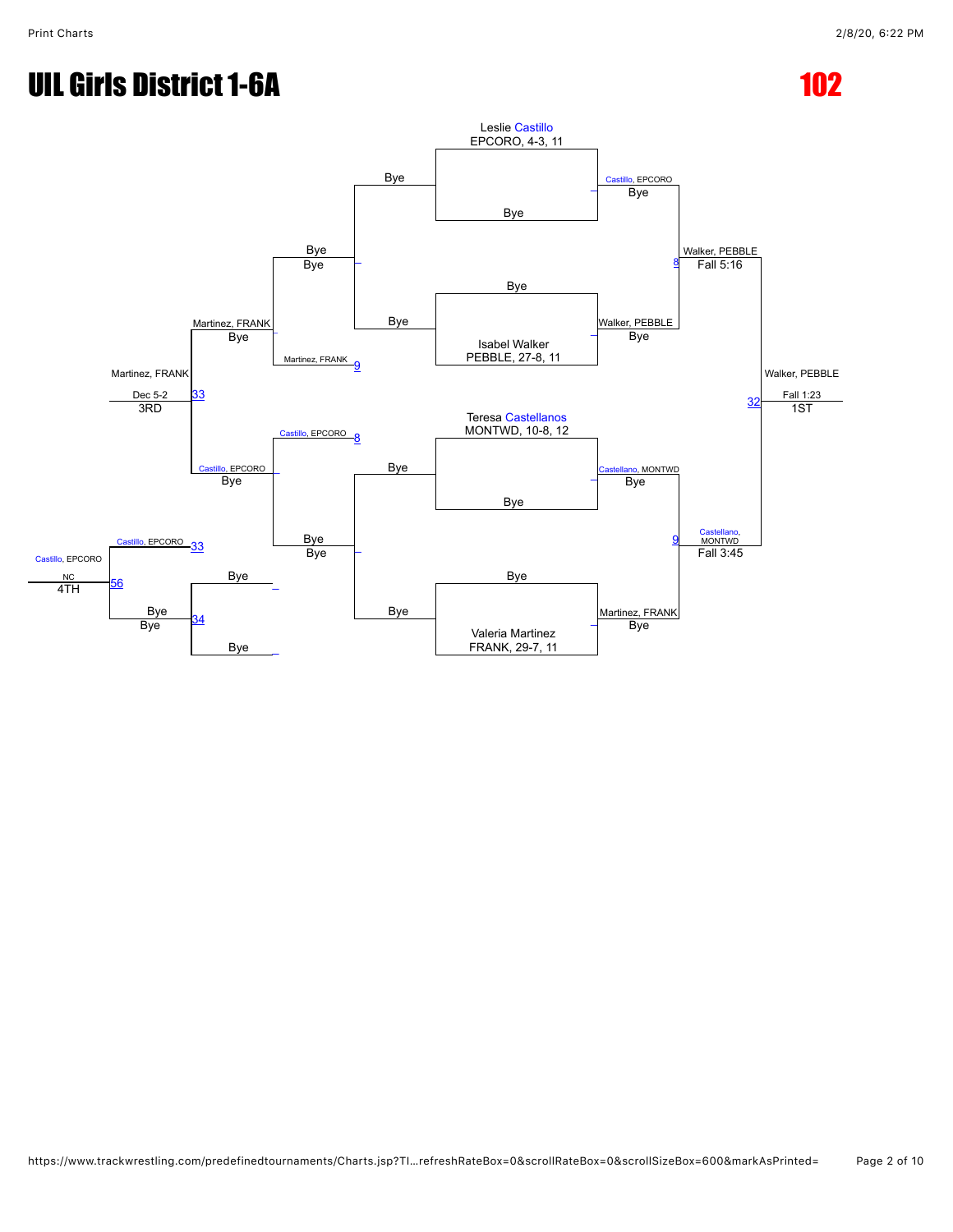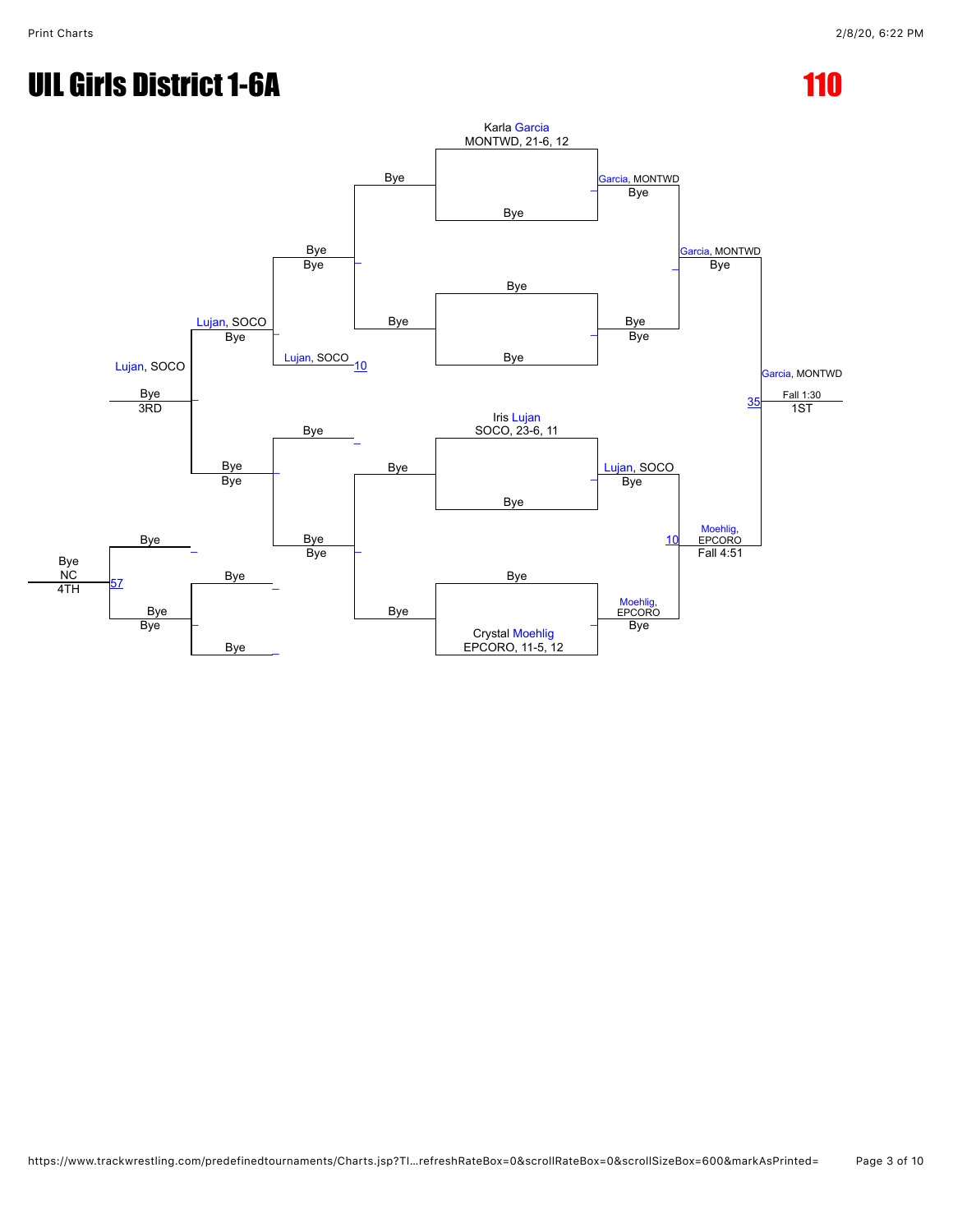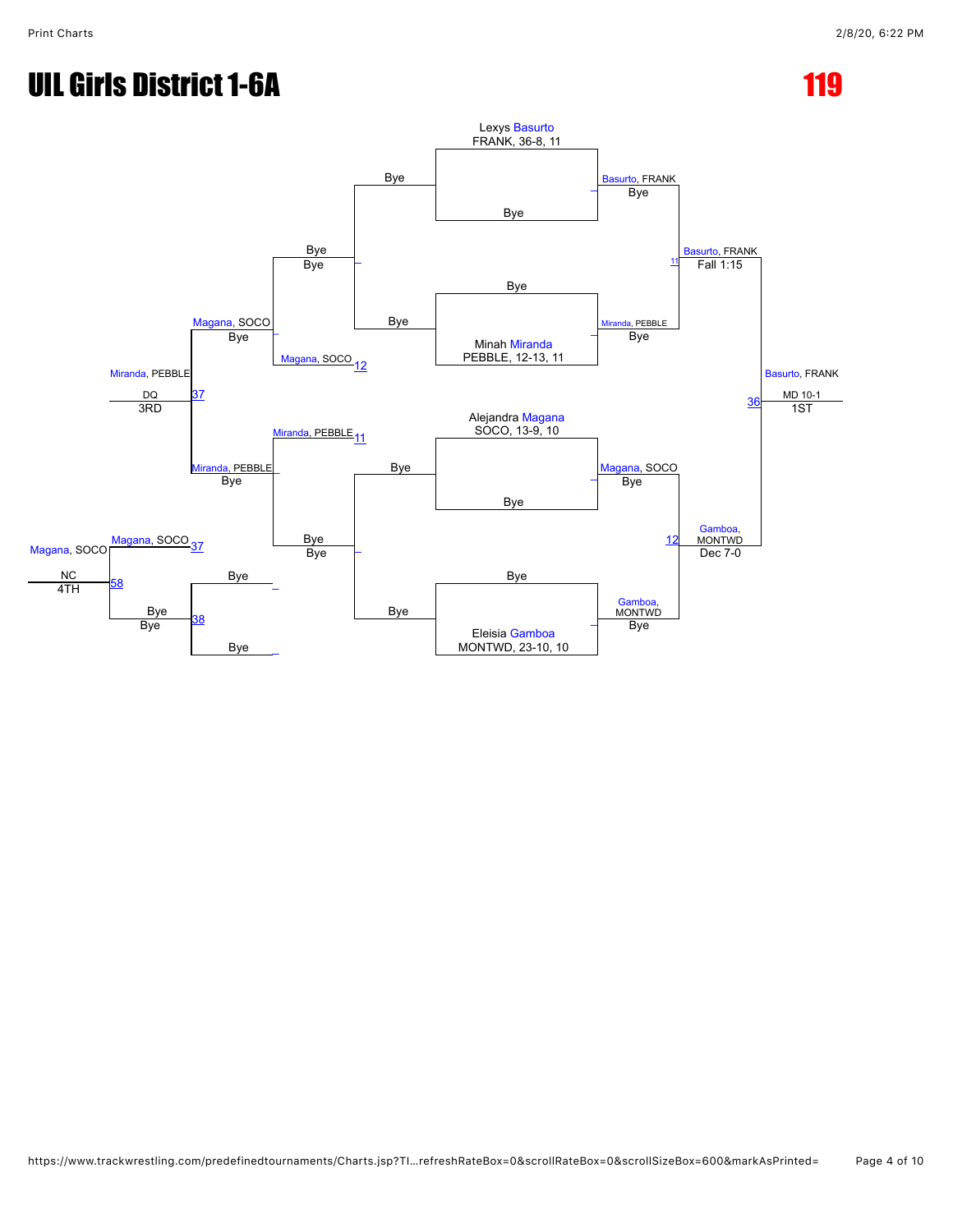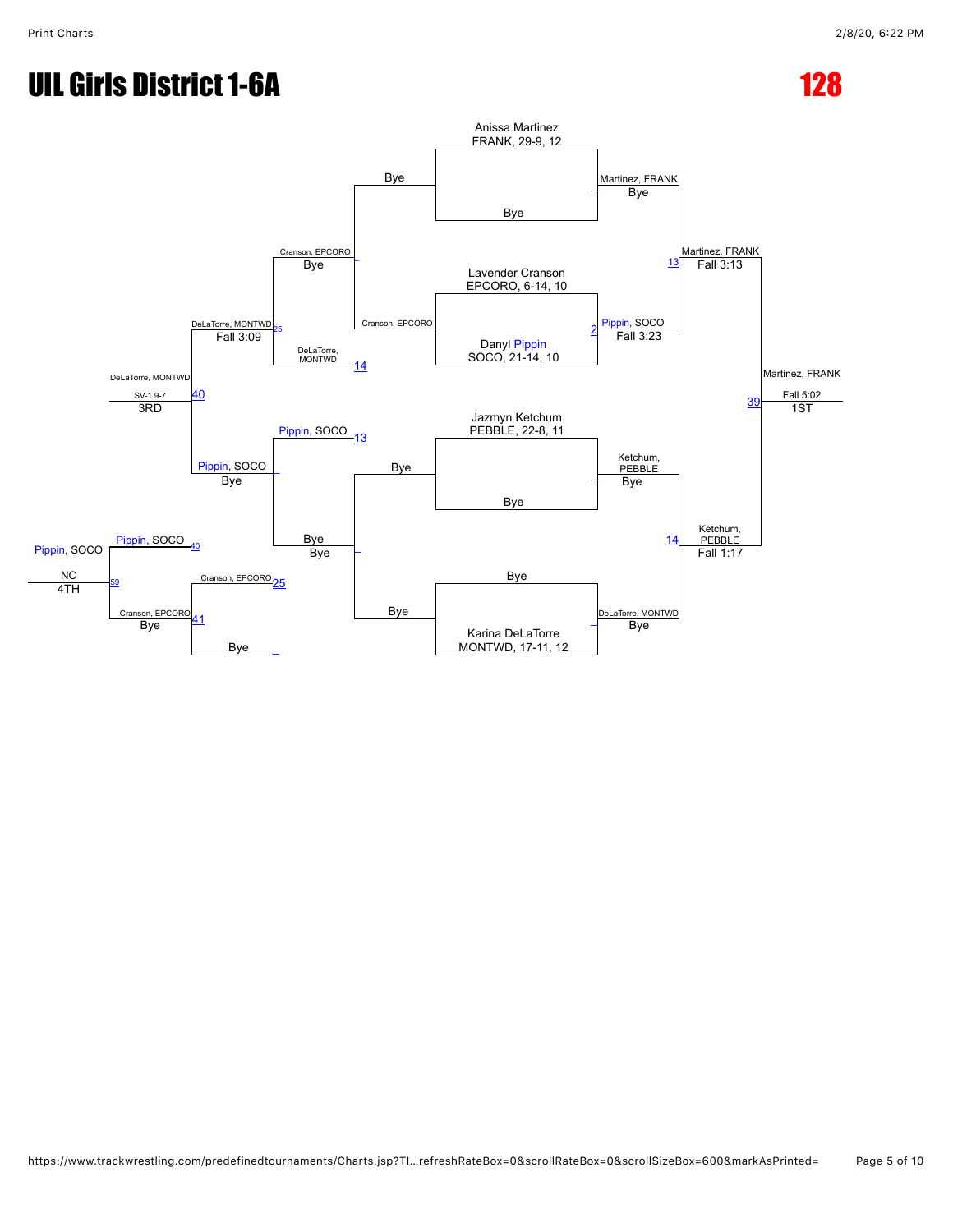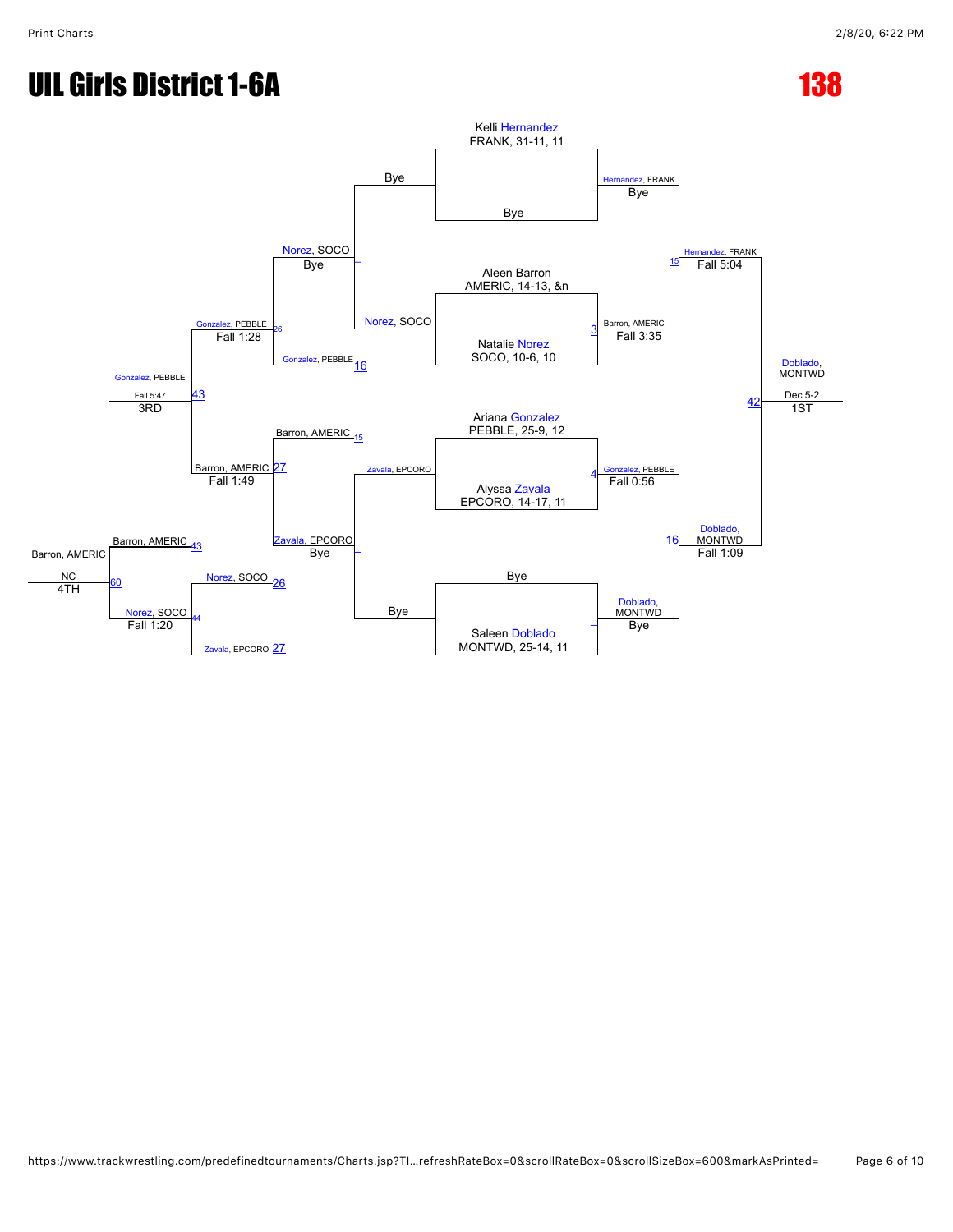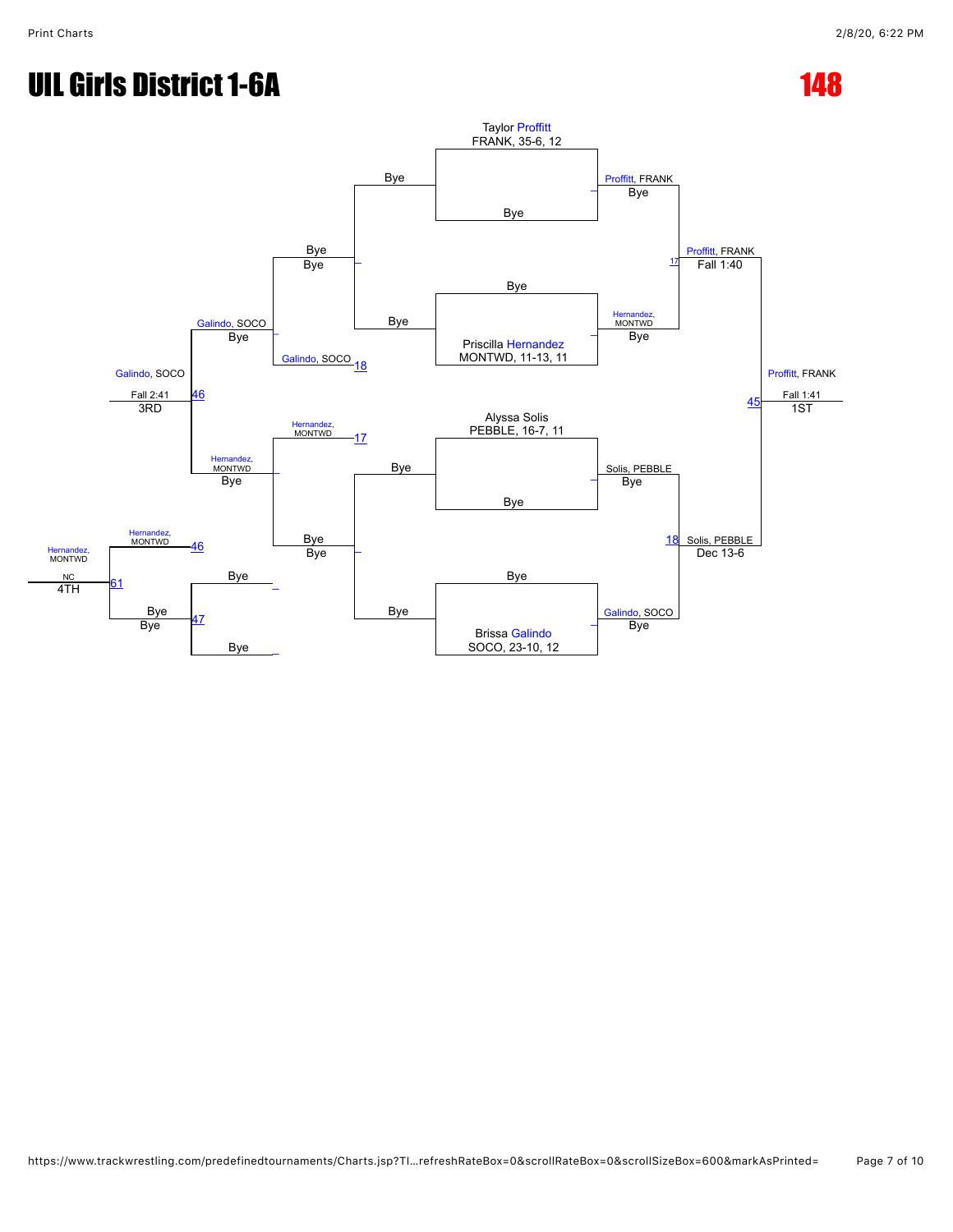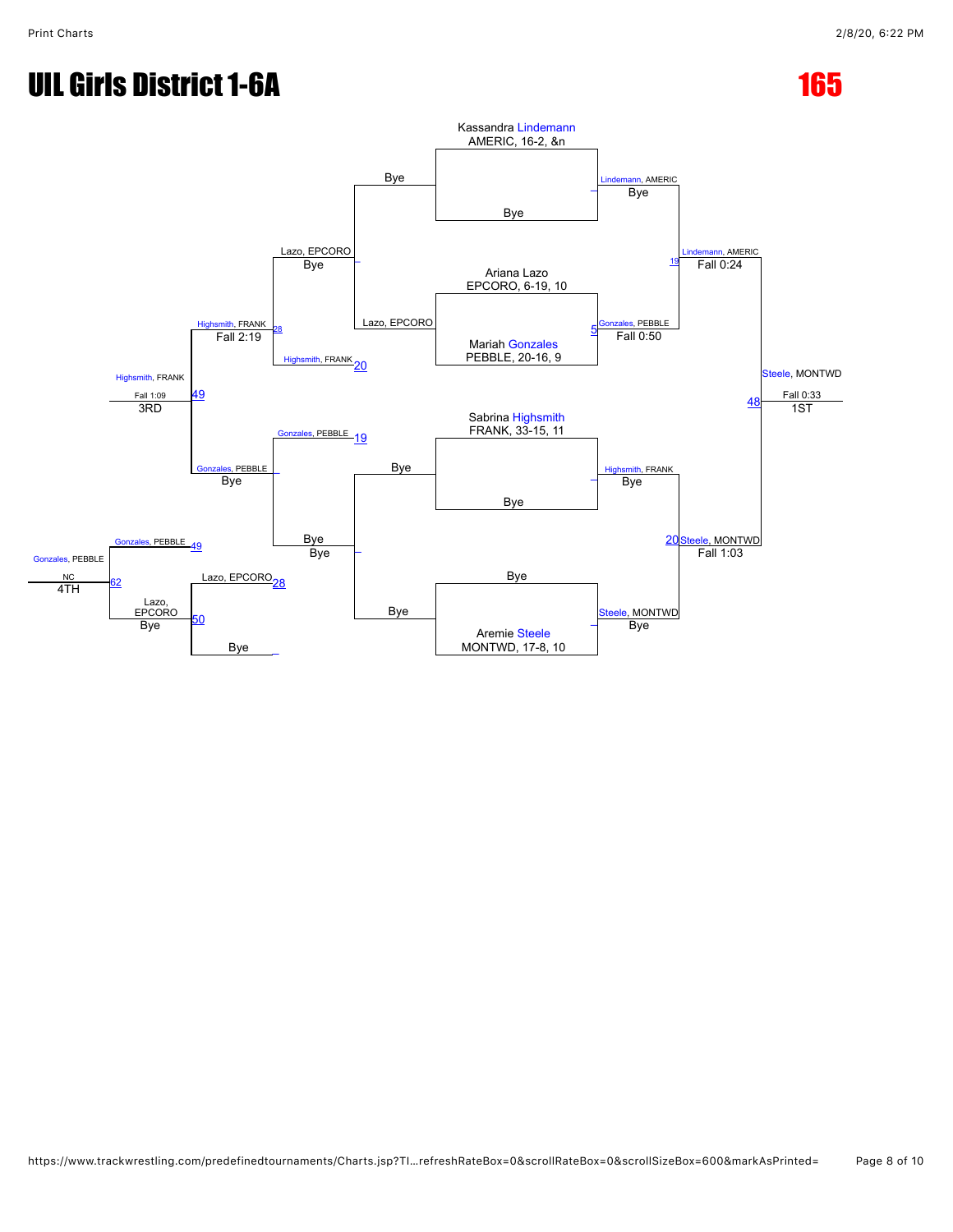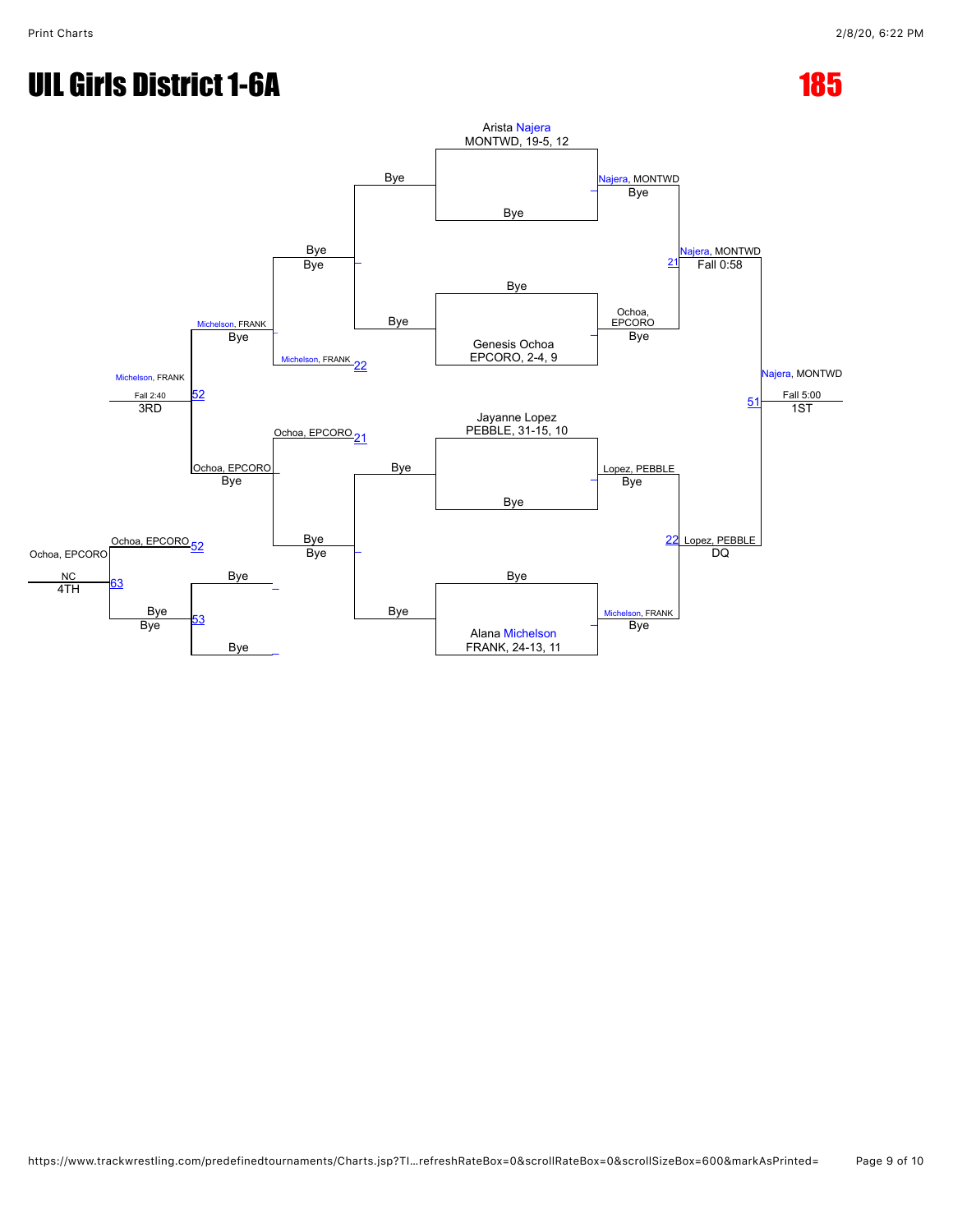